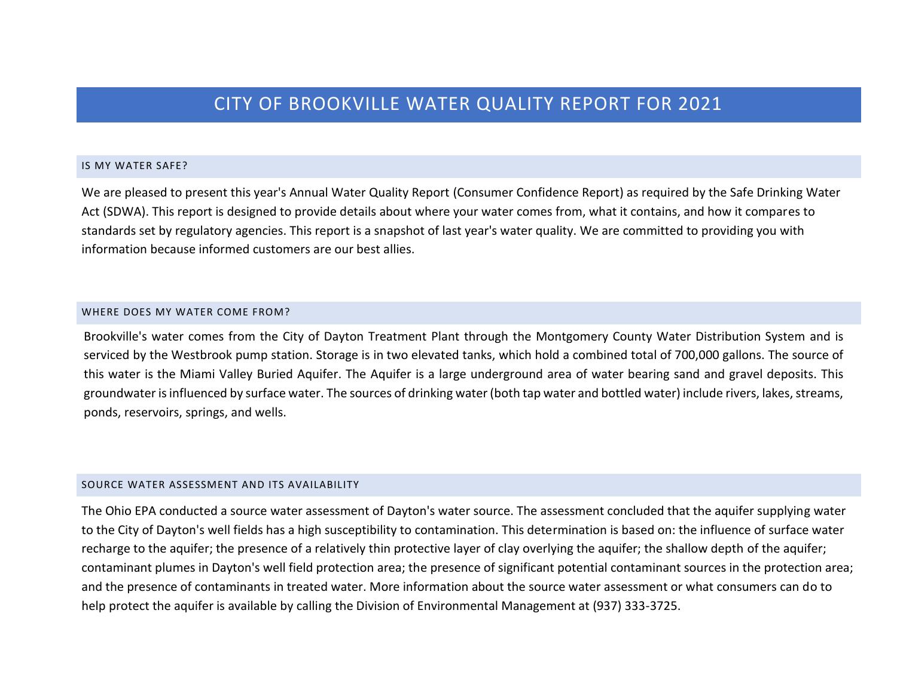# CITY OF BROOKVILLE WATER QUALITY REPORT FOR 2021

#### IS MY WATER SAFE?

We are pleased to present this year's Annual Water Quality Report (Consumer Confidence Report) as required by the Safe Drinking Water Act (SDWA). This report is designed to provide details about where your water comes from, what it contains, and how it compares to standards set by regulatory agencies. This report is a snapshot of last year's water quality. We are committed to providing you with information because informed customers are our best allies.

#### WHERE DOES MY WATER COME FROM?

Brookville's water comes from the City of Dayton Treatment Plant through the Montgomery County Water Distribution System and is serviced by the Westbrook pump station. Storage is in two elevated tanks, which hold a combined total of 700,000 gallons. The source of this water is the Miami Valley Buried Aquifer. The Aquifer is a large underground area of water bearing sand and gravel deposits. This groundwater is influenced by surface water. The sources of drinking water(both tap water and bottled water) include rivers, lakes, streams, ponds, reservoirs, springs, and wells.

#### SOURCE WATER ASSESSMENT AND ITS AVAILABILITY

The Ohio EPA conducted a source water assessment of Dayton's water source. The assessment concluded that the aquifer supplying water to the City of Dayton's well fields has a high susceptibility to contamination. This determination is based on: the influence of surface water recharge to the aquifer; the presence of a relatively thin protective layer of clay overlying the aquifer; the shallow depth of the aquifer; contaminant plumes in Dayton's well field protection area; the presence of significant potential contaminant sources in the protection area; and the presence of contaminants in treated water. More information about the source water assessment or what consumers can do to help protect the aquifer is available by calling the Division of Environmental Management at (937) 333-3725.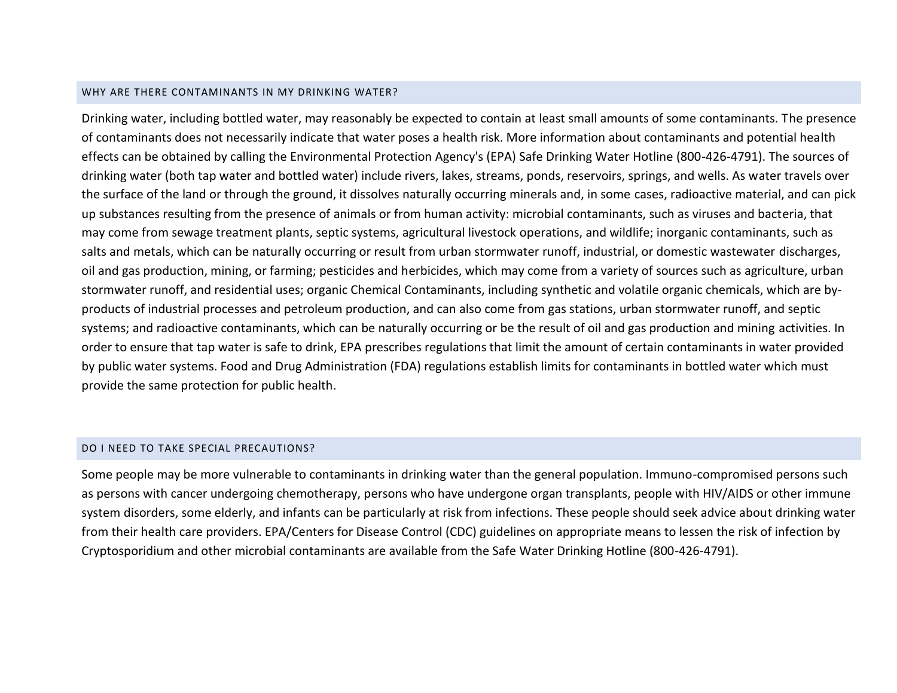#### WHY ARE THERE CONTAMINANTS IN MY DRINKING WATER?

Drinking water, including bottled water, may reasonably be expected to contain at least small amounts of some contaminants. The presence of contaminants does not necessarily indicate that water poses a health risk. More information about contaminants and potential health effects can be obtained by calling the Environmental Protection Agency's (EPA) Safe Drinking Water Hotline (800-426-4791). The sources of drinking water (both tap water and bottled water) include rivers, lakes, streams, ponds, reservoirs, springs, and wells. As water travels over the surface of the land or through the ground, it dissolves naturally occurring minerals and, in some cases, radioactive material, and can pick up substances resulting from the presence of animals or from human activity: microbial contaminants, such as viruses and bacteria, that may come from sewage treatment plants, septic systems, agricultural livestock operations, and wildlife; inorganic contaminants, such as salts and metals, which can be naturally occurring or result from urban stormwater runoff, industrial, or domestic wastewater discharges, oil and gas production, mining, or farming; pesticides and herbicides, which may come from a variety of sources such as agriculture, urban stormwater runoff, and residential uses; organic Chemical Contaminants, including synthetic and volatile organic chemicals, which are byproducts of industrial processes and petroleum production, and can also come from gas stations, urban stormwater runoff, and septic systems; and radioactive contaminants, which can be naturally occurring or be the result of oil and gas production and mining activities. In order to ensure that tap water is safe to drink, EPA prescribes regulations that limit the amount of certain contaminants in water provided by public water systems. Food and Drug Administration (FDA) regulations establish limits for contaminants in bottled water which must provide the same protection for public health.

#### DO I NEED TO TAKE SPECIAL PRECAUTIONS?

Some people may be more vulnerable to contaminants in drinking water than the general population. Immuno-compromised persons such as persons with cancer undergoing chemotherapy, persons who have undergone organ transplants, people with HIV/AIDS or other immune system disorders, some elderly, and infants can be particularly at risk from infections. These people should seek advice about drinking water from their health care providers. EPA/Centers for Disease Control (CDC) guidelines on appropriate means to lessen the risk of infection by Cryptosporidium and other microbial contaminants are available from the Safe Water Drinking Hotline (800-426-4791).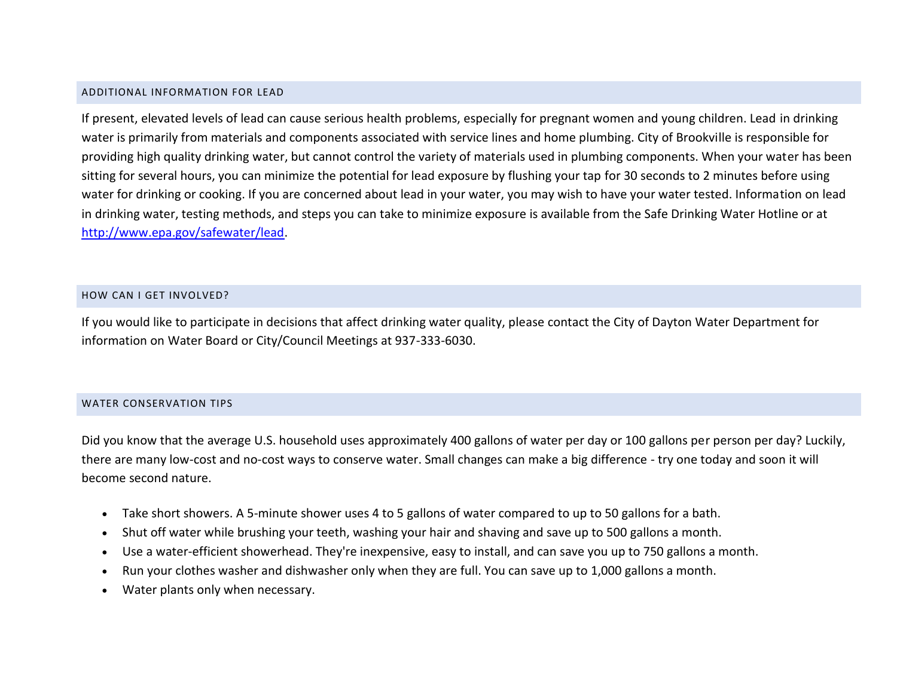### ADDITIONAL INFORMATION FOR LEAD

If present, elevated levels of lead can cause serious health problems, especially for pregnant women and young children. Lead in drinking water is primarily from materials and components associated with service lines and home plumbing. City of Brookville is responsible for providing high quality drinking water, but cannot control the variety of materials used in plumbing components. When your water has been sitting for several hours, you can minimize the potential for lead exposure by flushing your tap for 30 seconds to 2 minutes before using water for drinking or cooking. If you are concerned about lead in your water, you may wish to have your water tested. Information on lead in drinking water, testing methods, and steps you can take to minimize exposure is available from the Safe Drinking Water Hotline or at [http://www.epa.gov/safewater/lead.](http://www.epa.gov/safewater/lead)

### HOW CAN I GET INVOLVED?

If you would like to participate in decisions that affect drinking water quality, please contact the City of Dayton Water Department for information on Water Board or City/Council Meetings at 937-333-6030.

### WATER CONSERVATION TIPS

Did you know that the average U.S. household uses approximately 400 gallons of water per day or 100 gallons per person per day? Luckily, there are many low-cost and no-cost ways to conserve water. Small changes can make a big difference - try one today and soon it will become second nature.

- Take short showers. A 5-minute shower uses 4 to 5 gallons of water compared to up to 50 gallons for a bath.
- Shut off water while brushing your teeth, washing your hair and shaving and save up to 500 gallons a month.
- Use a water-efficient showerhead. They're inexpensive, easy to install, and can save you up to 750 gallons a month.
- Run your clothes washer and dishwasher only when they are full. You can save up to 1,000 gallons a month.
- Water plants only when necessary.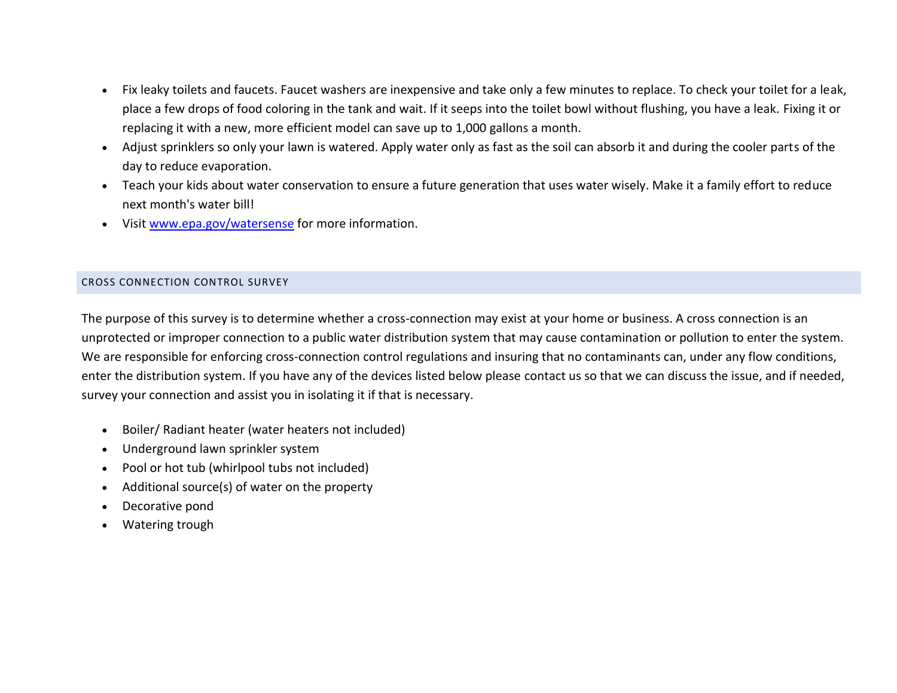- Fix leaky toilets and faucets. Faucet washers are inexpensive and take only a few minutes to replace. To check your toilet for a leak, place a few drops of food coloring in the tank and wait. If it seeps into the toilet bowl without flushing, you have a leak. Fixing it or replacing it with a new, more efficient model can save up to 1,000 gallons a month.
- Adjust sprinklers so only your lawn is watered. Apply water only as fast as the soil can absorb it and during the cooler parts of the day to reduce evaporation.
- Teach your kids about water conservation to ensure a future generation that uses water wisely. Make it a family effort to reduce next month's water bill!
- Visi[t www.epa.gov/watersense](http://www.epa.gov/watersense) for more information.

### CROSS CONNECTION CONTROL SURVEY

The purpose of this survey is to determine whether a cross-connection may exist at your home or business. A cross connection is an unprotected or improper connection to a public water distribution system that may cause contamination or pollution to enter the system. We are responsible for enforcing cross-connection control regulations and insuring that no contaminants can, under any flow conditions, enter the distribution system. If you have any of the devices listed below please contact us so that we can discuss the issue, and if needed, survey your connection and assist you in isolating it if that is necessary.

- Boiler/ Radiant heater (water heaters not included)
- Underground lawn sprinkler system
- Pool or hot tub (whirlpool tubs not included)
- Additional source(s) of water on the property
- Decorative pond
- Watering trough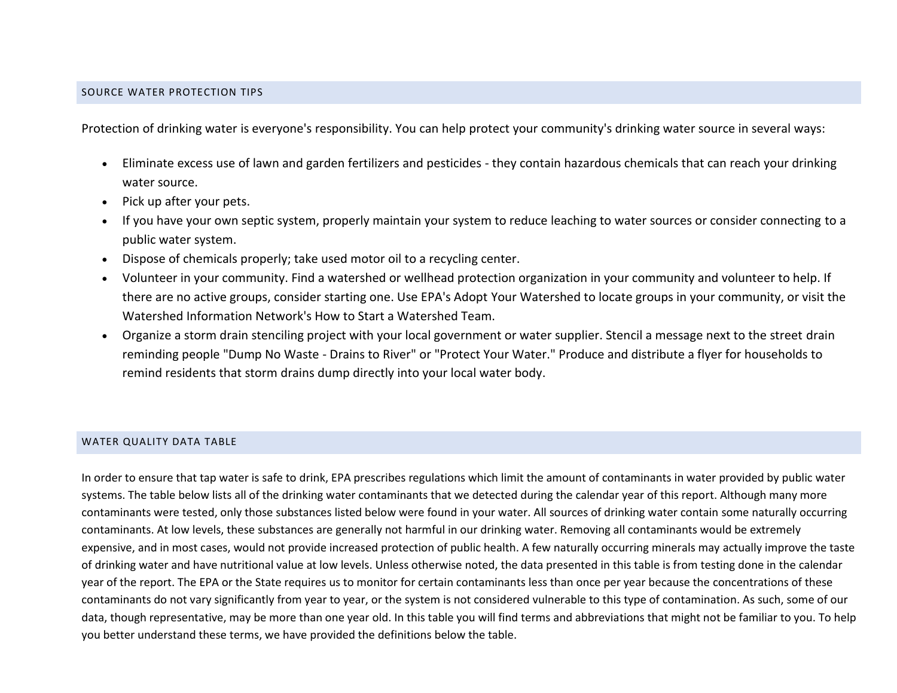### SOURCE WATER PROTECTION TIPS

Protection of drinking water is everyone's responsibility. You can help protect your community's drinking water source in several ways:

- Eliminate excess use of lawn and garden fertilizers and pesticides they contain hazardous chemicals that can reach your drinking water source.
- Pick up after your pets.
- If you have your own septic system, properly maintain your system to reduce leaching to water sources or consider connecting to a public water system.
- Dispose of chemicals properly; take used motor oil to a recycling center.
- Volunteer in your community. Find a watershed or wellhead protection organization in your community and volunteer to help. If there are no active groups, consider starting one. Use EPA's Adopt Your Watershed to locate groups in your community, or visit the Watershed Information Network's How to Start a Watershed Team.
- Organize a storm drain stenciling project with your local government or water supplier. Stencil a message next to the street drain reminding people "Dump No Waste - Drains to River" or "Protect Your Water." Produce and distribute a flyer for households to remind residents that storm drains dump directly into your local water body.

### WATER QUALITY DATA TABLE

In order to ensure that tap water is safe to drink, EPA prescribes regulations which limit the amount of contaminants in water provided by public water systems. The table below lists all of the drinking water contaminants that we detected during the calendar year of this report. Although many more contaminants were tested, only those substances listed below were found in your water. All sources of drinking water contain some naturally occurring contaminants. At low levels, these substances are generally not harmful in our drinking water. Removing all contaminants would be extremely expensive, and in most cases, would not provide increased protection of public health. A few naturally occurring minerals may actually improve the taste of drinking water and have nutritional value at low levels. Unless otherwise noted, the data presented in this table is from testing done in the calendar year of the report. The EPA or the State requires us to monitor for certain contaminants less than once per year because the concentrations of these contaminants do not vary significantly from year to year, or the system is not considered vulnerable to this type of contamination. As such, some of our data, though representative, may be more than one year old. In this table you will find terms and abbreviations that might not be familiar to you. To help you better understand these terms, we have provided the definitions below the table.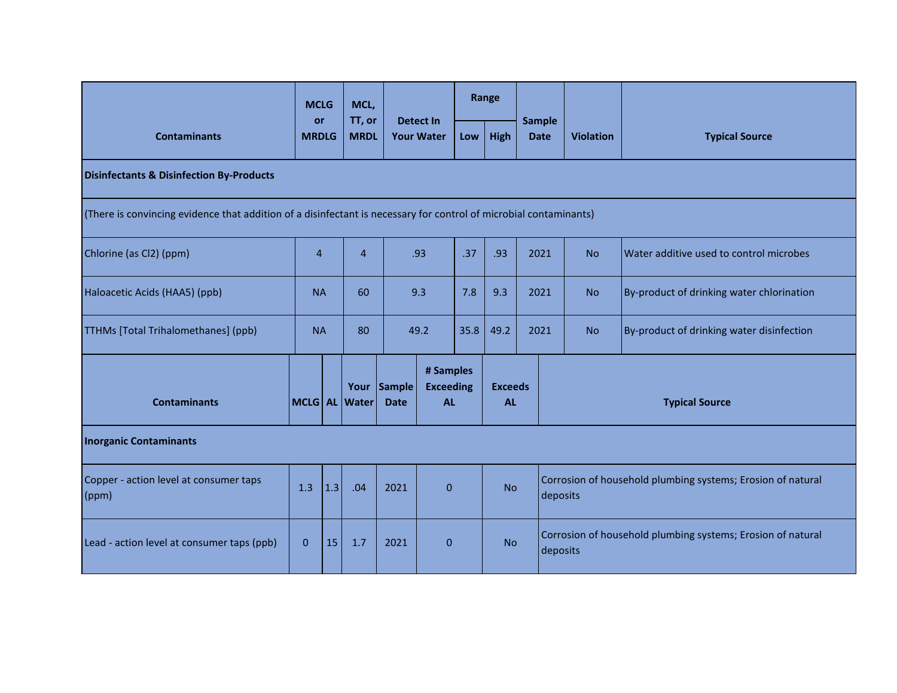| <b>Contaminants</b>                                                                                               |              | <b>MCLG</b>               | MCL,<br>TT, or |                            |                                            | Range |                             |      |                                                                         |                  |                                           |  |
|-------------------------------------------------------------------------------------------------------------------|--------------|---------------------------|----------------|----------------------------|--------------------------------------------|-------|-----------------------------|------|-------------------------------------------------------------------------|------------------|-------------------------------------------|--|
|                                                                                                                   |              | <b>or</b><br><b>MRDLG</b> |                | <b>MRDL</b>                | <b>Detect In</b><br><b>Your Water</b>      |       | High                        |      | <b>Sample</b><br><b>Date</b>                                            | <b>Violation</b> | <b>Typical Source</b>                     |  |
| <b>Disinfectants &amp; Disinfection By-Products</b>                                                               |              |                           |                |                            |                                            |       |                             |      |                                                                         |                  |                                           |  |
| (There is convincing evidence that addition of a disinfectant is necessary for control of microbial contaminants) |              |                           |                |                            |                                            |       |                             |      |                                                                         |                  |                                           |  |
| Chlorine (as Cl2) (ppm)                                                                                           |              | $\overline{4}$            |                | .93                        |                                            | .37   | .93                         | 2021 |                                                                         | <b>No</b>        | Water additive used to control microbes   |  |
| Haloacetic Acids (HAA5) (ppb)                                                                                     |              | <b>NA</b><br>60           |                | 9.3                        |                                            | 7.8   | 9.3                         | 2021 |                                                                         | <b>No</b>        | By-product of drinking water chlorination |  |
| <b>TTHMs</b> [Total Trihalomethanes] (ppb)                                                                        |              | <b>NA</b>                 |                | 49.2                       |                                            | 35.8  | 49.2                        | 2021 |                                                                         | <b>No</b>        | By-product of drinking water disinfection |  |
| <b>Contaminants</b>                                                                                               |              |                           | MCLG AL Water  | Your Sample<br><b>Date</b> | # Samples<br><b>Exceeding</b><br><b>AL</b> |       | <b>Exceeds</b><br><b>AL</b> |      | <b>Typical Source</b>                                                   |                  |                                           |  |
| <b>Inorganic Contaminants</b>                                                                                     |              |                           |                |                            |                                            |       |                             |      |                                                                         |                  |                                           |  |
| Copper - action level at consumer taps<br>$\mathsf{ppm}$                                                          | 1.3          | 1.3                       | .04            | 2021                       | $\overline{0}$                             |       | <b>No</b>                   |      | Corrosion of household plumbing systems; Erosion of natural<br>deposits |                  |                                           |  |
| Lead - action level at consumer taps (ppb)                                                                        | $\mathbf{0}$ | 15                        | 1.7            | 2021                       | $\mathbf{0}$                               |       | <b>No</b>                   |      | Corrosion of household plumbing systems; Erosion of natural<br>deposits |                  |                                           |  |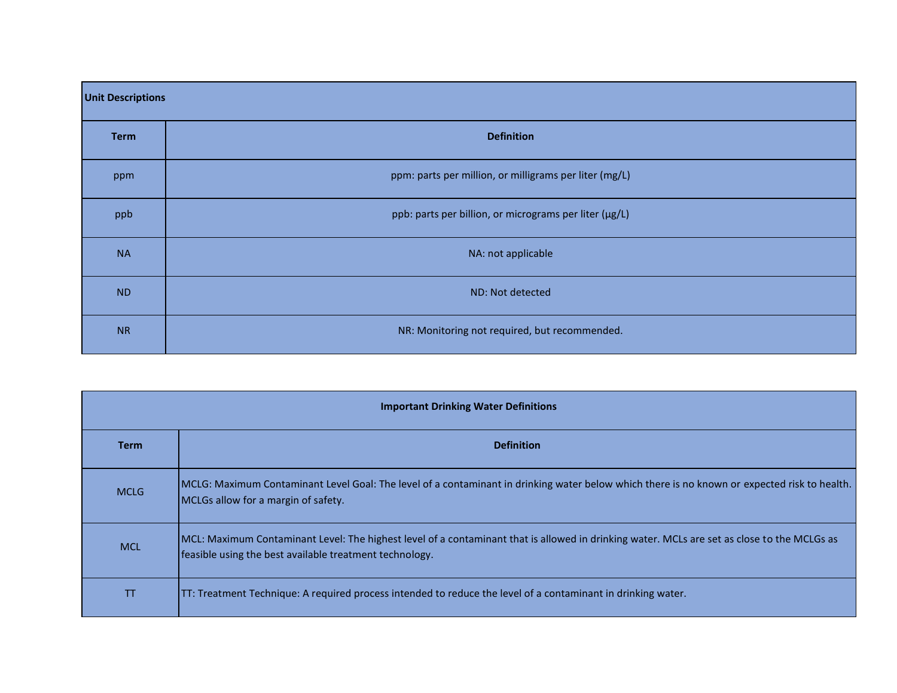| <b>Unit Descriptions</b> |                                                        |  |  |  |  |  |  |  |
|--------------------------|--------------------------------------------------------|--|--|--|--|--|--|--|
| <b>Term</b>              | <b>Definition</b>                                      |  |  |  |  |  |  |  |
| ppm                      | ppm: parts per million, or milligrams per liter (mg/L) |  |  |  |  |  |  |  |
| ppb                      | ppb: parts per billion, or micrograms per liter (µg/L) |  |  |  |  |  |  |  |
| <b>NA</b>                | NA: not applicable                                     |  |  |  |  |  |  |  |
| <b>ND</b>                | ND: Not detected                                       |  |  |  |  |  |  |  |
| <b>NR</b>                | NR: Monitoring not required, but recommended.          |  |  |  |  |  |  |  |

| <b>Important Drinking Water Definitions</b> |                                                                                                                                                                                                        |  |  |  |  |  |  |  |  |
|---------------------------------------------|--------------------------------------------------------------------------------------------------------------------------------------------------------------------------------------------------------|--|--|--|--|--|--|--|--|
| <b>Term</b>                                 | <b>Definition</b>                                                                                                                                                                                      |  |  |  |  |  |  |  |  |
| <b>MCLG</b>                                 | MCLG: Maximum Contaminant Level Goal: The level of a contaminant in drinking water below which there is no known or expected risk to health.<br>MCLGs allow for a margin of safety.                    |  |  |  |  |  |  |  |  |
| <b>MCL</b>                                  | MCL: Maximum Contaminant Level: The highest level of a contaminant that is allowed in drinking water. MCLs are set as close to the MCLGs as<br>feasible using the best available treatment technology. |  |  |  |  |  |  |  |  |
| TT                                          | TT: Treatment Technique: A required process intended to reduce the level of a contaminant in drinking water.                                                                                           |  |  |  |  |  |  |  |  |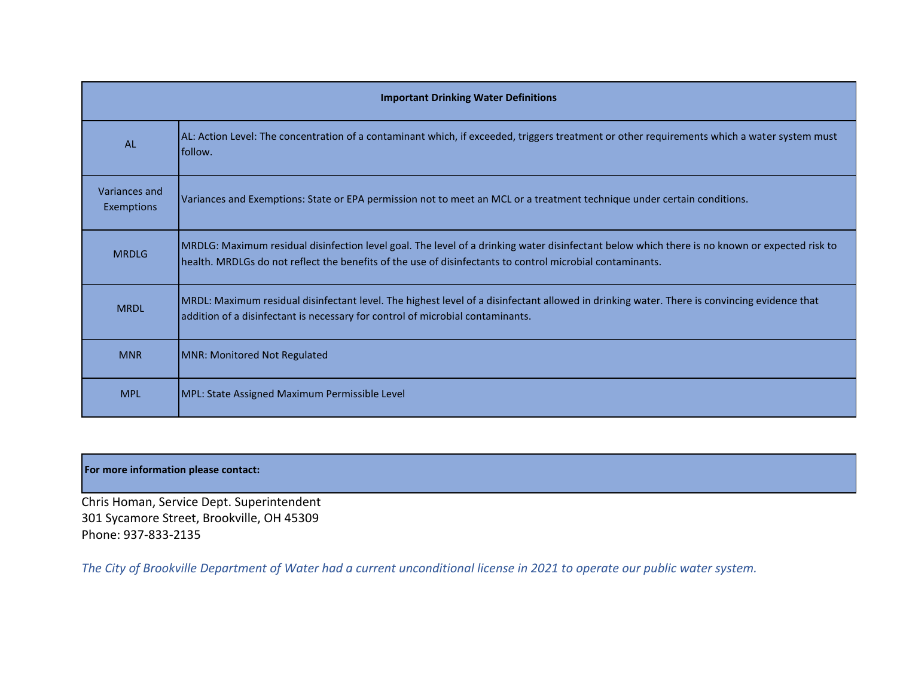|                             | <b>Important Drinking Water Definitions</b>                                                                                                                                                                                                                  |
|-----------------------------|--------------------------------------------------------------------------------------------------------------------------------------------------------------------------------------------------------------------------------------------------------------|
| <b>AL</b>                   | AL: Action Level: The concentration of a contaminant which, if exceeded, triggers treatment or other requirements which a water system must<br>follow.                                                                                                       |
| Variances and<br>Exemptions | Variances and Exemptions: State or EPA permission not to meet an MCL or a treatment technique under certain conditions.                                                                                                                                      |
| <b>MRDLG</b>                | MRDLG: Maximum residual disinfection level goal. The level of a drinking water disinfectant below which there is no known or expected risk to  <br>health. MRDLGs do not reflect the benefits of the use of disinfectants to control microbial contaminants. |
| <b>MRDL</b>                 | MRDL: Maximum residual disinfectant level. The highest level of a disinfectant allowed in drinking water. There is convincing evidence that<br>addition of a disinfectant is necessary for control of microbial contaminants.                                |
| <b>MNR</b>                  | MNR: Monitored Not Regulated                                                                                                                                                                                                                                 |
| <b>MPL</b>                  | MPL: State Assigned Maximum Permissible Level                                                                                                                                                                                                                |

## **For more information please contact:**

Chris Homan, Service Dept. Superintendent 301 Sycamore Street, Brookville, OH 45309 Phone: 937-833-2135

*The City of Brookville Department of Water had a current unconditional license in 2021 to operate our public water system.*